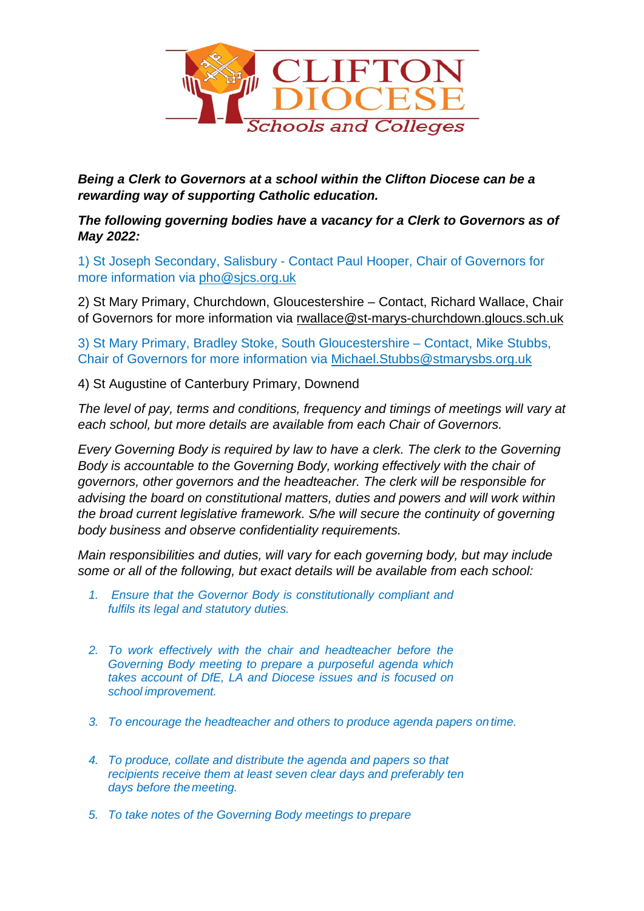

*Being a Clerk to Governors at a school within the Clifton Diocese can be a rewarding way of supporting Catholic education.* 

*The following governing bodies have a vacancy for a Clerk to Governors as of May 2022:*

1) St Joseph Secondary, Salisbury - Contact Paul Hooper, Chair of Governors for more information via [pho@sjcs.org.uk](mailto:pho@sjcs.org.uk)

2) St Mary Primary, Churchdown, Gloucestershire – Contact, Richard Wallace, Chair of Governors for more information via [rwallace@st-marys-churchdown.gloucs.sch.uk](mailto:rwallace@st-marys-churchdown.gloucs.sch.uk)

3) St Mary Primary, Bradley Stoke, South Gloucestershire – Contact, Mike Stubbs, Chair of Governors for more information via [Michael.Stubbs@stmarysbs.org.uk](mailto:Michael.Stubbs@stmarysbs.org.uk)

4) St Augustine of Canterbury Primary, Downend

*The level of pay, terms and conditions, frequency and timings of meetings will vary at each school, but more details are available from each Chair of Governors.*

*Every Governing Body is required by law to have a clerk. The clerk to the Governing Body is accountable to the Governing Body, working effectively with the chair of governors, other governors and the headteacher. The clerk will be responsible for advising the board on constitutional matters, duties and powers and will work within the broad current legislative framework. S/he will secure the continuity of governing body business and observe confidentiality requirements.*

*Main responsibilities and duties, will vary for each governing body, but may include some or all of the following, but exact details will be available from each school:*

- *1. Ensure that the Governor Body is constitutionally compliant and fulfils its legal and statutory duties.*
- *2. To work effectively with the chair and headteacher before the Governing Body meeting to prepare a purposeful agenda which takes account of DfE, LA and Diocese issues and is focused on school improvement.*
- *3. To encourage the headteacher and others to produce agenda papers on time.*
- *4. To produce, collate and distribute the agenda and papers so that recipients receive them at least seven clear days and preferably ten days before themeeting.*
- *5. To take notes of the Governing Body meetings to prepare*